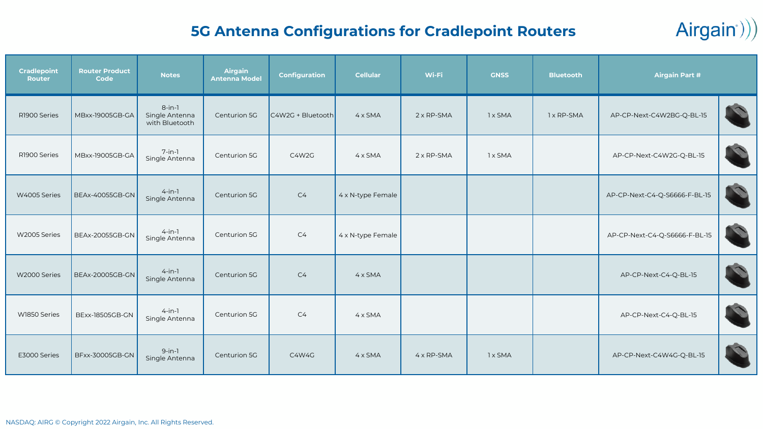### **5G Antenna Configurations for Cradlepoint Routers**

 $Airgain))$ 

| <b>Cradlepoint</b><br><b>Router</b> | <b>Router Product</b><br>Code | <b>Notes</b>                                  | Airgain<br><b>Antenna Model</b> | <b>Configuration</b> | <b>Cellular</b>   | Wi-Fi              | <b>GNSS</b> | <b>Bluetooth</b> | <b>Airgain Part #</b>         |  |
|-------------------------------------|-------------------------------|-----------------------------------------------|---------------------------------|----------------------|-------------------|--------------------|-------------|------------------|-------------------------------|--|
| R1900 Series                        | MBxx-19005GB-GA               | $8$ -in-1<br>Single Antenna<br>with Bluetooth | Centurion 5G                    | C4W2G + Bluetooth    | $4 \times$ SMA    | 2 x RP-SMA         | 1 x SMA     | 1 x RP-SMA       | AP-CP-Next-C4W2BG-Q-BL-15     |  |
| R1900 Series                        | MBxx-19005GB-GA               | $7$ -in-1<br>Single Antenna                   | Centurion 5G                    | C4W2G                | $4 \times$ SMA    | $2 \times RP$ -SMA | 1 x SMA     |                  | AP-CP-Next-C4W2G-Q-BL-15      |  |
| W4005 Series                        | <b>BEAx-40055GB-GN</b>        | $4$ -in-1<br>Single Antenna                   | Centurion 5G                    | C <sub>4</sub>       | 4 x N-type Female |                    |             |                  | AP-CP-Next-C4-Q-S6666-F-BL-15 |  |
| W2005 Series                        | <b>BEAx-20055GB-GN</b>        | $4$ -in-1<br>Single Antenna                   | Centurion 5G                    | C4                   | 4 x N-type Female |                    |             |                  | AP-CP-Next-C4-Q-S6666-F-BL-15 |  |
| W2000 Series                        | <b>BEAx-20005GB-GN</b>        | $4$ -in-1<br>Single Antenna                   | Centurion 5G                    | C <sub>4</sub>       | $4 \times$ SMA    |                    |             |                  | AP-CP-Next-C4-Q-BL-15         |  |
| W1850 Series                        | <b>BExx-18505GB-GN</b>        | $4$ -in-1<br>Single Antenna                   | Centurion 5G                    | C <sub>4</sub>       | $4 \times$ SMA    |                    |             |                  | AP-CP-Next-C4-Q-BL-15         |  |
| E3000 Series                        | BFxx-30005GB-GN               | $9-in-1$<br>Single Antenna                    | Centurion 5G                    | C4W4G                | $4 \times$ SMA    | 4 x RP-SMA         | 1 x SMA     |                  | AP-CP-Next-C4W4G-Q-BL-15      |  |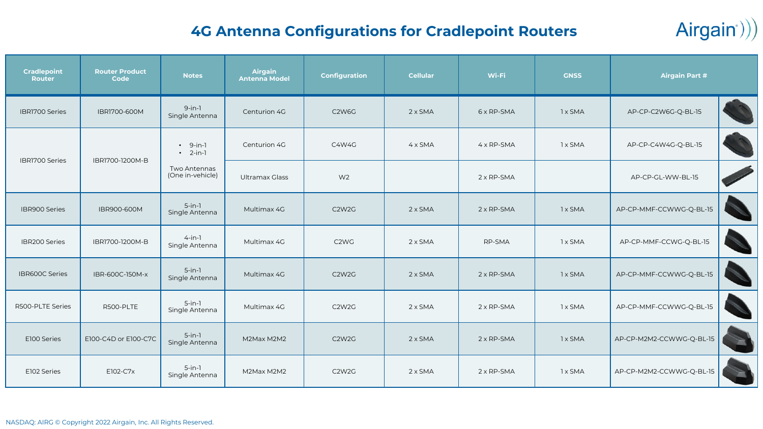# $Airgain))$

### **4G Antenna Configurations for Cradlepoint Routers**

| <b>Cradlepoint</b><br>Router | <b>Router Product</b><br>Code | <b>Notes</b>                     | Airgain<br>Antenna Model                                                                                           | <b>Configuration</b>           | <b>Cellular</b> | Wi-Fi              | <b>GNSS</b> | <b>Airgain Part #</b>    |  |
|------------------------------|-------------------------------|----------------------------------|--------------------------------------------------------------------------------------------------------------------|--------------------------------|-----------------|--------------------|-------------|--------------------------|--|
| IBRI700 Series               | IBR1700-600M                  | $9-in-1$<br>Single Antenna       | Centurion 4G                                                                                                       | C <sub>2</sub> W <sub>6G</sub> | $2 \times$ SMA  | 6 x RP-SMA         | 1 x SMA     | AP-CP-C2W6G-Q-BL-15      |  |
| <b>IBRI700 Series</b>        | IBR1700-1200M-B               | $-9-in-1$<br>$\cdot$ 2-in-1      | C4W4G<br>$4 \times$ SMA<br>4 x RP-SMA<br>1 x SMA<br>Centurion 4G<br>W <sub>2</sub><br>Ultramax Glass<br>2 x RP-SMA | AP-CP-C4W4G-Q-BL-15            |                 |                    |             |                          |  |
|                              |                               | Two Antennas<br>(One in-vehicle) |                                                                                                                    | AP-CP-GL-WW-BL-15              |                 |                    |             |                          |  |
| IBR900 Series                | IBR900-600M                   | $5$ -in-1<br>Single Antenna      | Multimax 4G                                                                                                        | C <sub>2</sub> W <sub>2G</sub> | $2 \times$ SMA  | $2 \times RP$ -SMA | 1 x SMA     | AP-CP-MMF-CCWWG-Q-BL-15  |  |
| <b>IBR200 Series</b>         | IBR1700-1200M-B               | $4 - in - 1$<br>Single Antenna   | Multimax 4G                                                                                                        | C <sub>2</sub> W <sub>G</sub>  | $2 \times$ SMA  | RP-SMA             | 1 x SMA     | AP-CP-MMF-CCWG-Q-BL-15   |  |
| IBR600C Series               | IBR-600C-150M-x               | $5$ -in-1<br>Single Antenna      | Multimax 4G                                                                                                        | C <sub>2</sub> W <sub>2G</sub> | $2 \times$ SMA  | $2 \times RP$ -SMA | 1 x SMA     | AP-CP-MMF-CCWWG-Q-BL-15  |  |
| R500-PLTE Series             | R500-PLTE                     | $5$ -in-1<br>Single Antenna      | Multimax 4G                                                                                                        | C <sub>2</sub> W <sub>2G</sub> | $2 \times$ SMA  | 2 x RP-SMA         | 1 x SMA     | AP-CP-MMF-CCWWG-Q-BL-15  |  |
| E100 Series                  | E100-C4D or E100-C7C          | $5$ -in-1<br>Single Antenna      | M2Max M2M2                                                                                                         | C <sub>2</sub> W <sub>2G</sub> | $2 \times$ SMA  | $2 \times RP$ -SMA | 1 x SMA     | AP-CP-M2M2-CCWWG-Q-BL-15 |  |
| E102 Series                  | E102-C7x                      | $5$ -in-1<br>Single Antenna      | M2Max M2M2                                                                                                         | C <sub>2</sub> W <sub>2G</sub> | $2 \times$ SMA  | $2 \times RP-SMA$  | 1 x SMA     | AP-CP-M2M2-CCWWG-Q-BL-15 |  |